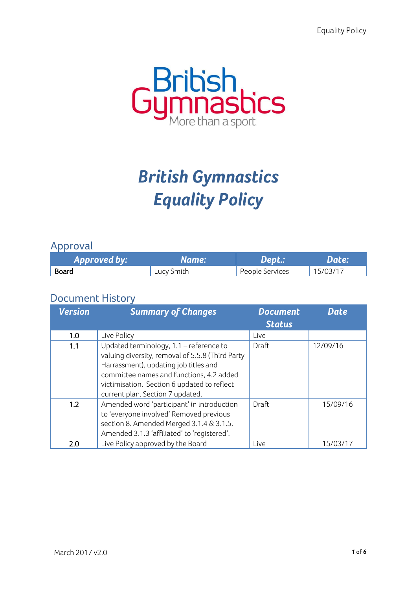

# *British Gymnastics Equality Policy*

## Approval

| Approved by: | Name:      | Dept.:          | Date:    |
|--------------|------------|-----------------|----------|
| Board        | Lucy Smith | People Services | 15/03/17 |

# Document History

| <b>Version</b> | <b>Summary of Changes</b>                                                                                                                                                                                                                                           | <b>Document</b><br><b>Status</b> | <b>Date</b> |
|----------------|---------------------------------------------------------------------------------------------------------------------------------------------------------------------------------------------------------------------------------------------------------------------|----------------------------------|-------------|
| 1.0            | Live Policy                                                                                                                                                                                                                                                         | Live                             |             |
| 1.1            | Updated terminology, 1.1 - reference to<br>valuing diversity, removal of 5.5.8 (Third Party<br>Harrassment), updating job titles and<br>committee names and functions, 4.2 added<br>victimisation. Section 6 updated to reflect<br>current plan. Section 7 updated. | <b>Draft</b>                     | 12/09/16    |
| 1.2            | Amended word 'participant' in introduction<br>to 'everyone involved' Removed previous<br>section 8. Amended Merged 3.1.4 & 3.1.5.<br>Amended 3.1.3 'affiliated' to 'registered'.                                                                                    | Draft                            | 15/09/16    |
| 2.0            | Live Policy approved by the Board                                                                                                                                                                                                                                   | Live                             | 15/03/17    |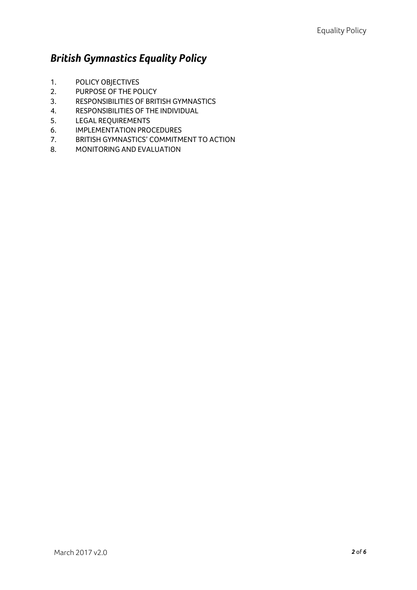# *British Gymnastics Equality Policy*

- 1. POLICY OBJECTIVES
- 2. PURPOSE OF THE POLICY
- 3. RESPONSIBILITIES OF BRITISH GYMNASTICS
- 4. RESPONSIBILITIES OF THE INDIVIDUAL
- 5. LEGAL REQUIREMENTS
- 6. IMPLEMENTATION PROCEDURES
- 7. BRITISH GYMNASTICS' COMMITMENT TO ACTION
- 8. MONITORING AND EVALUATION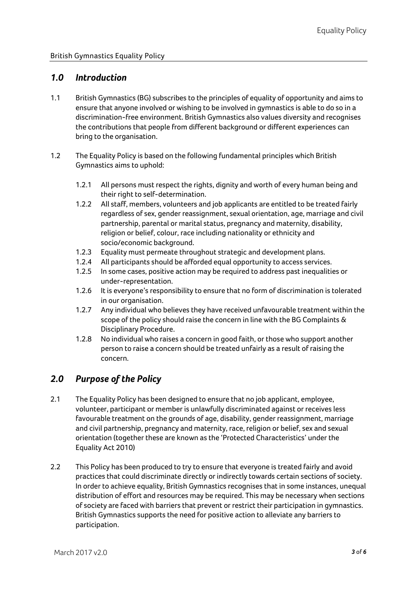#### *1.0 Introduction*

- 1.1 British Gymnastics (BG) subscribes to the principles of equality of opportunity and aims to ensure that anyone involved or wishing to be involved in gymnastics is able to do so in a discrimination-free environment. British Gymnastics also values diversity and recognises the contributions that people from different background or different experiences can bring to the organisation.
- 1.2 The Equality Policy is based on the following fundamental principles which British Gymnastics aims to uphold:
	- 1.2.1 All persons must respect the rights, dignity and worth of every human being and their right to self-determination.
	- 1.2.2 All staff, members, volunteers and job applicants are entitled to be treated fairly regardless of sex, gender reassignment, sexual orientation, age, marriage and civil partnership, parental or marital status, pregnancy and maternity, disability, religion or belief, colour, race including nationality or ethnicity and socio/economic background.
	- 1.2.3 Equality must permeate throughout strategic and development plans.
	- 1.2.4 All participants should be afforded equal opportunity to access services.
	- 1.2.5 In some cases, positive action may be required to address past inequalities or under-representation.
	- 1.2.6 It is everyone's responsibility to ensure that no form of discrimination is tolerated in our organisation.
	- 1.2.7 Any individual who believes they have received unfavourable treatment within the scope of the policy should raise the concern in line with the BG Complaints & Disciplinary Procedure.
	- 1.2.8 No individual who raises a concern in good faith, or those who support another person to raise a concern should be treated unfairly as a result of raising the concern.

## *2.0 Purpose of the Policy*

- 2.1 The Equality Policy has been designed to ensure that no job applicant, employee, volunteer, participant or member is unlawfully discriminated against or receives less favourable treatment on the grounds of age, disability, gender reassignment, marriage and civil partnership, pregnancy and maternity, race, religion or belief, sex and sexual orientation (together these are known as the 'Protected Characteristics' under the Equality Act 2010)
- 2.2 This Policy has been produced to try to ensure that everyone is treated fairly and avoid practices that could discriminate directly or indirectly towards certain sections of society. In order to achieve equality, British Gymnastics recognises that in some instances, unequal distribution of effort and resources may be required. This may be necessary when sections of society are faced with barriers that prevent or restrict their participation in gymnastics. British Gymnastics supports the need for positive action to alleviate any barriers to participation.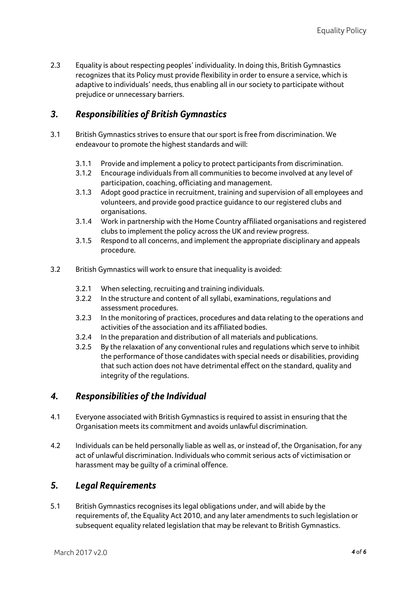2.3 Equality is about respecting peoples' individuality. In doing this, British Gymnastics recognizes that its Policy must provide flexibility in order to ensure a service, which is adaptive to individuals' needs, thus enabling all in our society to participate without prejudice or unnecessary barriers.

## *3. Responsibilities of British Gymnastics*

- 3.1 British Gymnastics strives to ensure that our sport is free from discrimination. We endeavour to promote the highest standards and will:
	- 3.1.1 Provide and implement a policy to protect participants from discrimination.
	- 3.1.2 Encourage individuals from all communities to become involved at any level of participation, coaching, officiating and management.
	- 3.1.3 Adopt good practice in recruitment, training and supervision of all employees and volunteers, and provide good practice guidance to our registered clubs and organisations.
	- 3.1.4 Work in partnership with the Home Country affiliated organisations and registered clubs to implement the policy across the UK and review progress.
	- 3.1.5 Respond to all concerns, and implement the appropriate disciplinary and appeals procedure.
- 3.2 British Gymnastics will work to ensure that inequality is avoided:
	- 3.2.1 When selecting, recruiting and training individuals.
	- 3.2.2 In the structure and content of all syllabi, examinations, regulations and assessment procedures.
	- 3.2.3 In the monitoring of practices, procedures and data relating to the operations and activities of the association and its affiliated bodies.
	- 3.2.4 In the preparation and distribution of all materials and publications.
	- 3.2.5 By the relaxation of any conventional rules and regulations which serve to inhibit the performance of those candidates with special needs or disabilities, providing that such action does not have detrimental effect on the standard, quality and integrity of the regulations.

#### *4. Responsibilities of the Individual*

- 4.1 Everyone associated with British Gymnastics is required to assist in ensuring that the Organisation meets its commitment and avoids unlawful discrimination.
- 4.2 Individuals can be held personally liable as well as, or instead of, the Organisation, for any act of unlawful discrimination. Individuals who commit serious acts of victimisation or harassment may be guilty of a criminal offence.

#### *5. Legal Requirements*

5.1 British Gymnastics recognises its legal obligations under, and will abide by the requirements of, the Equality Act 2010, and any later amendments to such legislation or subsequent equality related legislation that may be relevant to British Gymnastics.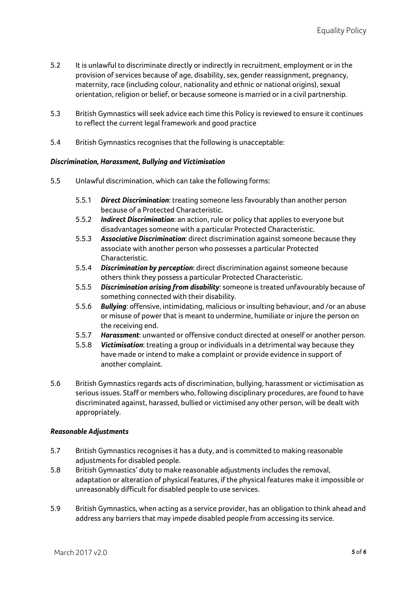- 5.2 It is unlawful to discriminate directly or indirectly in recruitment, employment or in the provision of services because of age, disability, sex, gender reassignment, pregnancy, maternity, race (including colour, nationality and ethnic or national origins), sexual orientation, religion or belief, or because someone is married or in a civil partnership.
- 5.3 British Gymnastics will seek advice each time this Policy is reviewed to ensure it continues to reflect the current legal framework and good practice
- 5.4 British Gymnastics recognises that the following is unacceptable:

#### *Discrimination, Harassment, Bullying and Victimisation*

- 5.5 Unlawful discrimination, which can take the following forms:
	- 5.5.1 *Direct Discrimination*: treating someone less favourably than another person because of a Protected Characteristic.
	- 5.5.2 *Indirect Discrimination*: an action, rule or policy that applies to everyone but disadvantages someone with a particular Protected Characteristic.
	- 5.5.3 *Associative Discrimination*: direct discrimination against someone because they associate with another person who possesses a particular Protected Characteristic.
	- 5.5.4 *Discrimination by perception*: direct discrimination against someone because others think they possess a particular Protected Characteristic.
	- 5.5.5 *Discrimination arising from disability*: someone is treated unfavourably because of something connected with their disability.
	- 5.5.6 *Bullying*: offensive, intimidating, malicious or insulting behaviour, and /or an abuse or misuse of power that is meant to undermine, humiliate or injure the person on the receiving end.
	- 5.5.7 *Harassment*: unwanted or offensive conduct directed at oneself or another person.
	- 5.5.8 *Victimisation*: treating a group or individuals in a detrimental way because they have made or intend to make a complaint or provide evidence in support of another complaint.
- 5.6 British Gymnastics regards acts of discrimination, bullying, harassment or victimisation as serious issues. Staff or members who, following disciplinary procedures, are found to have discriminated against, harassed, bullied or victimised any other person, will be dealt with appropriately.

#### *Reasonable Adjustments*

- 5.7 British Gymnastics recognises it has a duty, and is committed to making reasonable adjustments for disabled people.
- 5.8 British Gymnastics' duty to make reasonable adjustments includes the removal, adaptation or alteration of physical features, if the physical features make it impossible or unreasonably difficult for disabled people to use services.
- 5.9 British Gymnastics, when acting as a service provider, has an obligation to think ahead and address any barriers that may impede disabled people from accessing its service.